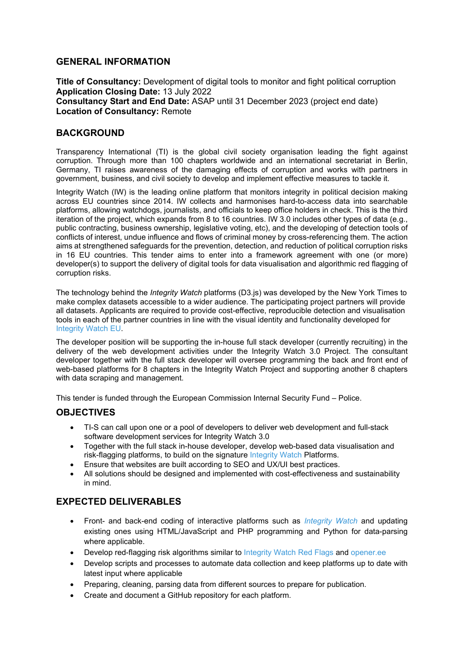## **GENERAL INFORMATION**

**Title of Consultancy:** Development of digital tools to monitor and fight political corruption **Application Closing Date:** 13 July 2022 **Consultancy Start and End Date:** ASAP until 31 December 2023 (project end date) **Location of Consultancy:** Remote

## **BACKGROUND**

Transparency International (TI) is the global civil society organisation leading the fight against corruption. Through more than 100 chapters worldwide and an international secretariat in Berlin, Germany, TI raises awareness of the damaging effects of corruption and works with partners in government, business, and civil society to develop and implement effective measures to tackle it.

Integrity Watch (IW) is the leading online platform that monitors integrity in political decision making across EU countries since 2014. IW collects and harmonises hard-to-access data into searchable platforms, allowing watchdogs, journalists, and officials to keep office holders in check. This is the third iteration of the project, which expands from 8 to 16 countries. IW 3.0 includes other types of data (e.g., public contracting, business ownership, legislative voting, etc), and the developing of detection tools of conflicts of interest, undue influence and flows of criminal money by cross-referencing them. The action aims at strengthened safeguards for the prevention, detection, and reduction of political corruption risks in 16 EU countries. This tender aims to enter into a framework agreement with one (or more) developer(s) to support the delivery of digital tools for data visualisation and algorithmic red flagging of corruption risks.

The technology behind the *Integrity Watch* platforms (D3.js) was developed by the New York Times to make complex datasets accessible to a wider audience. The participating project partners will provide all datasets. Applicants are required to provide cost-effective, reproducible detection and visualisation tools in each of the partner countries in line with the visual identity and functionality developed for Integrity Watch EU.

The developer position will be supporting the in-house full stack developer (currently recruiting) in the delivery of the web development activities under the Integrity Watch 3.0 Project. The consultant developer together with the full stack developer will oversee programming the back and front end of web-based platforms for 8 chapters in the Integrity Watch Project and supporting another 8 chapters with data scraping and management.

This tender is funded through the European Commission Internal Security Fund – Police.

## **OBJECTIVES**

- TI-S can call upon one or a pool of developers to deliver web development and full-stack software development services for Integrity Watch 3.0
- Together with the full stack in-house developer, develop web-based data visualisation and risk-flagging platforms, to build on the signature Integrity Watch Platforms.
- Ensure that websites are built according to SEO and UX/UI best practices.
- All solutions should be designed and implemented with cost-effectiveness and sustainability in mind.

## **EXPECTED DELIVERABLES**

- Front- and back-end coding of interactive platforms such as *Integrity Watch* and updating existing ones using HTML/JavaScript and PHP programming and Python for data-parsing where applicable.
- Develop red-flagging risk algorithms similar to Integrity Watch Red Flags and opener.ee
- Develop scripts and processes to automate data collection and keep platforms up to date with latest input where applicable
- Preparing, cleaning, parsing data from different sources to prepare for publication.
- Create and document a GitHub repository for each platform.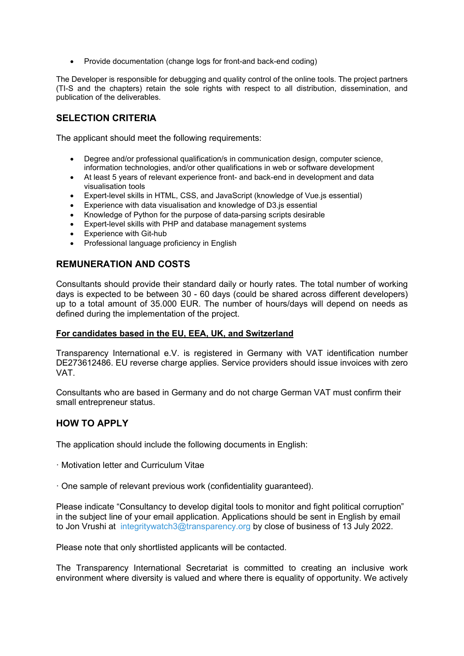Provide documentation (change logs for front-and back-end coding)

The Developer is responsible for debugging and quality control of the online tools. The project partners (TI-S and the chapters) retain the sole rights with respect to all distribution, dissemination, and publication of the deliverables.

# **SELECTION CRITERIA**

The applicant should meet the following requirements:

- Degree and/or professional qualification/s in communication design, computer science, information technologies, and/or other qualifications in web or software development
- At least 5 years of relevant experience front- and back-end in development and data visualisation tools
- Expert-level skills in HTML, CSS, and JavaScript (knowledge of Vue.js essential)
- Experience with data visualisation and knowledge of D3.js essential
- Knowledge of Python for the purpose of data-parsing scripts desirable
- Expert-level skills with PHP and database management systems
- Experience with Git-hub
- Professional language proficiency in English

## **REMUNERATION AND COSTS**

Consultants should provide their standard daily or hourly rates. The total number of working days is expected to be between 30 - 60 days (could be shared across different developers) up to a total amount of 35.000 EUR. The number of hours/days will depend on needs as defined during the implementation of the project.

### **For candidates based in the EU, EEA, UK, and Switzerland**

Transparency International e.V. is registered in Germany with VAT identification number DE273612486. EU reverse charge applies. Service providers should issue invoices with zero VAT.

Consultants who are based in Germany and do not charge German VAT must confirm their small entrepreneur status.

## **HOW TO APPLY**

The application should include the following documents in English:

- · Motivation letter and Curriculum Vitae
- · One sample of relevant previous work (confidentiality guaranteed).

Please indicate "Consultancy to develop digital tools to monitor and fight political corruption" in the subject line of your email application. Applications should be sent in English by email to Jon Vrushi at integritywatch3@transparency.org by close of business of 13 July 2022.

Please note that only shortlisted applicants will be contacted.

The Transparency International Secretariat is committed to creating an inclusive work environment where diversity is valued and where there is equality of opportunity. We actively